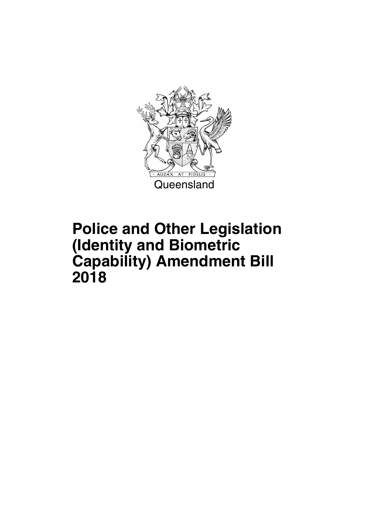

### **Police and Other Legislation (Identity and Biometric Capability) Amendment Bill 2018**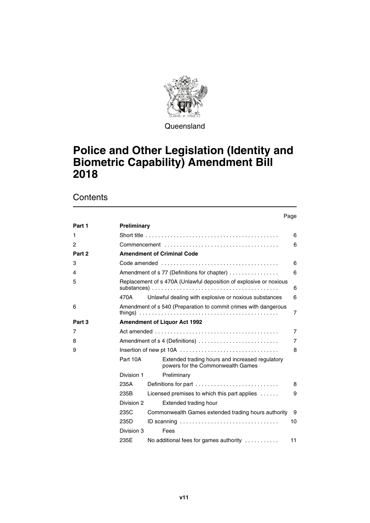

Queensland

### **Police and Other Legislation (Identity and Biometric Capability) Amendment Bill 2018**

**Contents** 

|                |                    |                                                                                                   | Page           |
|----------------|--------------------|---------------------------------------------------------------------------------------------------|----------------|
| Part 1         | <b>Preliminary</b> |                                                                                                   |                |
| 1              |                    | Short title $\ldots \ldots \ldots \ldots \ldots \ldots \ldots \ldots \ldots \ldots \ldots \ldots$ | 6              |
| $\overline{c}$ |                    |                                                                                                   | 6              |
| Part 2         |                    | <b>Amendment of Criminal Code</b>                                                                 |                |
| 3              |                    |                                                                                                   | 6              |
| 4              |                    | Amendment of s 77 (Definitions for chapter)                                                       | 6              |
| 5              |                    | Replacement of s 470A (Unlawful deposition of explosive or noxious                                | 6              |
|                | 470A               | Unlawful dealing with explosive or noxious substances                                             | 6              |
| 6              |                    | Amendment of s 540 (Preparation to commit crimes with dangerous                                   | $\overline{7}$ |
| Part 3         |                    | <b>Amendment of Liquor Act 1992</b>                                                               |                |
| 7              |                    | Act amended $\ldots \ldots \ldots \ldots \ldots \ldots \ldots \ldots \ldots \ldots \ldots \ldots$ | $\overline{7}$ |
| 8              |                    | Amendment of s 4 (Definitions)                                                                    | $\overline{7}$ |
| 9              |                    |                                                                                                   | 8              |
|                | Part 10A           | Extended trading hours and increased regulatory<br>powers for the Commonwealth Games              |                |
|                | Division 1         | Preliminary                                                                                       |                |
|                | 235A               | Definitions for part                                                                              | 8              |
|                | 235B               | Licensed premises to which this part applies $\dots$                                              | 9              |
|                | Division 2         | Extended trading hour                                                                             |                |
|                | 235C               | Commonwealth Games extended trading hours authority                                               | 9              |
|                | 235D               | ID scanning $\ldots \ldots \ldots \ldots \ldots \ldots \ldots \ldots \ldots \ldots$               | 10             |
|                | Division 3         | Fees                                                                                              |                |
|                | 235E               | No additional fees for games authority                                                            | 11             |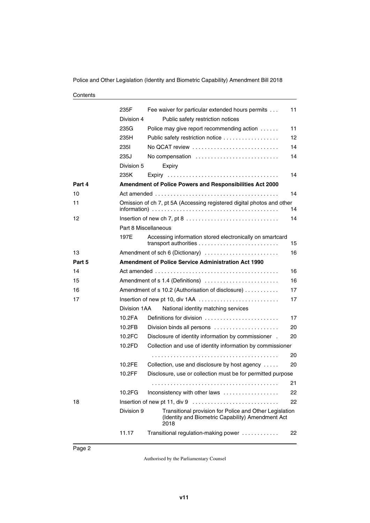Police and Other Legislation (Identity and Biometric Capability) Amendment Bill 2018

#### **Contents**

|        | 235F         | Fee waiver for particular extended hours permits                                                                     | 11  |
|--------|--------------|----------------------------------------------------------------------------------------------------------------------|-----|
|        | Division 4   | Public safety restriction notices                                                                                    |     |
|        | 235G         | Police may give report recommending action                                                                           | 11  |
|        | 235H         | Public safety restriction notice                                                                                     | 12  |
|        | 235I         | No QCAT review                                                                                                       | 14  |
|        | 235J         | No compensation                                                                                                      | 14  |
|        | Division 5   | Expiry                                                                                                               |     |
|        | 235K         |                                                                                                                      | 14  |
| Part 4 |              | Amendment of Police Powers and Responsibilities Act 2000                                                             |     |
| 10     |              |                                                                                                                      | 14  |
| 11     |              | Omission of ch 7, pt 5A (Accessing registered digital photos and other                                               | 14  |
| 12     |              |                                                                                                                      | 14  |
|        |              | Part 8 Miscellaneous                                                                                                 |     |
|        | 197E         | Accessing information stored electronically on smartcard                                                             | 15  |
| 13     |              | Amendment of sch 6 (Dictionary)                                                                                      | 16  |
| Part 5 |              | <b>Amendment of Police Service Administration Act 1990</b>                                                           |     |
| 14     |              |                                                                                                                      | 16  |
| 15     |              | Amendment of s 1.4 (Definitions)                                                                                     | 16  |
| 16     |              | Amendment of s 10.2 (Authorisation of disclosure)                                                                    | 17  |
| 17     |              | Insertion of new pt 10, div 1AA                                                                                      | 17  |
|        | Division 1AA | National identity matching services                                                                                  |     |
|        | 10.2FA       | Definitions for division                                                                                             | 17  |
|        | 10.2FB       | Division binds all persons                                                                                           | 20  |
|        | 10.2FC       | Disclosure of identity information by commissioner .                                                                 | 20  |
|        | 10.2FD       | Collection and use of identity information by commissioner                                                           |     |
|        |              |                                                                                                                      | 20  |
|        | 10.2FE       | Collection, use and disclosure by host agency                                                                        | 20  |
|        | 10.2FF       | Disclosure, use or collection must be for permitted purpose                                                          |     |
|        |              |                                                                                                                      | 21. |
|        | 10.2FG       | Inconsistency with other laws                                                                                        | 22  |
| 18     |              |                                                                                                                      | 22  |
|        | Division 9   | Transitional provision for Police and Other Legislation<br>(Identity and Biometric Capability) Amendment Act<br>2018 |     |
|        | 11.17        | Transitional regulation-making power                                                                                 | 22  |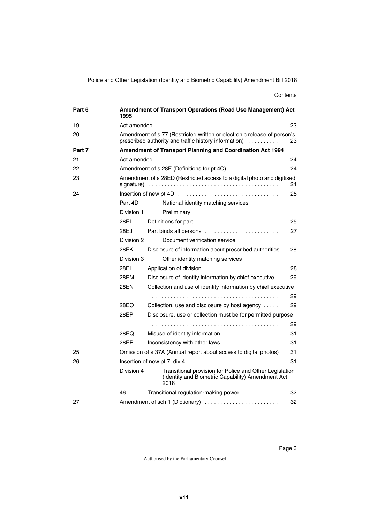Police and Other Legislation (Identity and Biometric Capability) Amendment Bill 2018

#### **Contents**

| Part 6 | 1995       | <b>Amendment of Transport Operations (Road Use Management) Act</b>                                                                    |    |
|--------|------------|---------------------------------------------------------------------------------------------------------------------------------------|----|
| 19     |            |                                                                                                                                       | 23 |
| 20     |            | Amendment of s 77 (Restricted written or electronic release of person's<br>prescribed authority and traffic history information)<br>. | 23 |
| Part 7 |            | Amendment of Transport Planning and Coordination Act 1994                                                                             |    |
| 21     |            |                                                                                                                                       | 24 |
| 22     |            | Amendment of s 28E (Definitions for pt 4C)                                                                                            | 24 |
| 23     | signature) | Amendment of s 28ED (Restricted access to a digital photo and digitised                                                               | 24 |
| 24     |            |                                                                                                                                       | 25 |
|        | Part 4D    | National identity matching services                                                                                                   |    |
|        | Division 1 | Preliminary                                                                                                                           |    |
|        | 28EI       | Definitions for part                                                                                                                  | 25 |
|        | 28EJ       | Part binds all persons                                                                                                                | 27 |
|        | Division 2 | Document verification service                                                                                                         |    |
|        | 28EK       | Disclosure of information about prescribed authorities                                                                                | 28 |
|        | Division 3 | Other identity matching services                                                                                                      |    |
|        | 28EL       | Application of division                                                                                                               | 28 |
|        | 28EM       | Disclosure of identity information by chief executive.                                                                                | 29 |
|        | 28EN       | Collection and use of identity information by chief executive                                                                         |    |
|        |            |                                                                                                                                       | 29 |
|        | 28EO       | Collection, use and disclosure by host agency                                                                                         | 29 |
|        | 28EP       | Disclosure, use or collection must be for permitted purpose                                                                           |    |
|        |            |                                                                                                                                       | 29 |
|        | 28EQ       | Misuse of identity information                                                                                                        | 31 |
|        | 28ER       | Inconsistency with other laws                                                                                                         | 31 |
| 25     |            | Omission of s 37A (Annual report about access to digital photos)                                                                      | 31 |
| 26     |            |                                                                                                                                       | 31 |
|        | Division 4 | Transitional provision for Police and Other Legislation<br>(Identity and Biometric Capability) Amendment Act<br>2018                  |    |
|        | 46         | Transitional regulation-making power                                                                                                  | 32 |
| 27     |            | Amendment of sch 1 (Dictionary)                                                                                                       | 32 |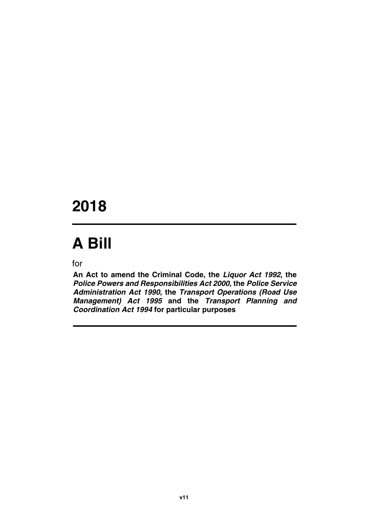## **2018**

# **A Bill**

for

**An Act to amend the Criminal Code, the** *Liquor Act 1992***, the** *Police Powers and Responsibilities Act 2000***, the** *Police Service Administration Act 1990***, the** *Transport Operations (Road Use Management) Act 1995* **and the** *Transport Planning and Coordination Act 1994* **for particular purposes**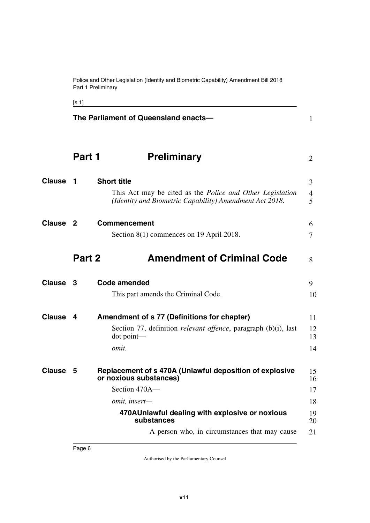Police and Other Legislation (Identity and Biometric Capability) Amendment Bill 2018 Part 1 Preliminary

<span id="page-7-15"></span><span id="page-7-14"></span><span id="page-7-9"></span><span id="page-7-7"></span><span id="page-7-5"></span><span id="page-7-3"></span><span id="page-7-1"></span>

<span id="page-7-13"></span><span id="page-7-12"></span><span id="page-7-11"></span><span id="page-7-10"></span><span id="page-7-8"></span><span id="page-7-6"></span><span id="page-7-4"></span><span id="page-7-2"></span><span id="page-7-0"></span>

|                     | The Parliament of Queensland enacts- |                                                                                                                                                                                     |                                  |
|---------------------|--------------------------------------|-------------------------------------------------------------------------------------------------------------------------------------------------------------------------------------|----------------------------------|
|                     | Part 1                               | <b>Preliminary</b>                                                                                                                                                                  | 2                                |
| Clause              | 1                                    | <b>Short title</b><br>This Act may be cited as the <i>Police and Other Legislation</i><br>(Identity and Biometric Capability) Amendment Act 2018.                                   | 3<br>4<br>5                      |
| Clause <sub>2</sub> |                                      | <b>Commencement</b><br>Section $8(1)$ commences on 19 April 2018.                                                                                                                   | 6<br>7                           |
|                     | Part 2                               | <b>Amendment of Criminal Code</b>                                                                                                                                                   | 8                                |
| Clause 3            |                                      | <b>Code amended</b><br>This part amends the Criminal Code.                                                                                                                          | 9<br>10                          |
| <b>Clause</b>       | 4                                    | Amendment of s 77 (Definitions for chapter)<br>Section 77, definition <i>relevant offence</i> , paragraph (b)(i), last<br>$dot$ point—<br>omit.                                     | 11<br>12<br>13<br>14             |
| Clause              | 5                                    | Replacement of s 470A (Unlawful deposition of explosive<br>or noxious substances)<br>Section 470A—<br>omit, insert-<br>470AUnlawful dealing with explosive or noxious<br>substances | 15<br>16<br>17<br>18<br>19<br>20 |
|                     |                                      | A person who, in circumstances that may cause                                                                                                                                       | 21                               |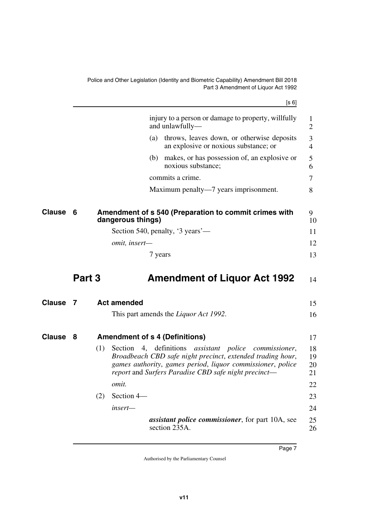<span id="page-8-7"></span><span id="page-8-6"></span><span id="page-8-5"></span><span id="page-8-4"></span><span id="page-8-3"></span><span id="page-8-2"></span><span id="page-8-1"></span><span id="page-8-0"></span>

|               |        |     |                                       | [s 6]                                                                                                                                                                                                                                              |                      |
|---------------|--------|-----|---------------------------------------|----------------------------------------------------------------------------------------------------------------------------------------------------------------------------------------------------------------------------------------------------|----------------------|
|               |        |     |                                       | injury to a person or damage to property, willfully<br>and unlawfully—                                                                                                                                                                             | 1<br>$\overline{2}$  |
|               |        |     |                                       | (a) throws, leaves down, or otherwise deposits<br>an explosive or noxious substance; or                                                                                                                                                            | 3<br>4               |
|               |        |     | (b)                                   | makes, or has possession of, an explosive or<br>noxious substance;                                                                                                                                                                                 | 5<br>6               |
|               |        |     |                                       | commits a crime.                                                                                                                                                                                                                                   | 7                    |
|               |        |     |                                       | Maximum penalty—7 years imprisonment.                                                                                                                                                                                                              | 8                    |
| <b>Clause</b> | 6      |     | dangerous things)                     | Amendment of s 540 (Preparation to commit crimes with                                                                                                                                                                                              | 9<br>10              |
|               |        |     |                                       | Section 540, penalty, '3 years'—                                                                                                                                                                                                                   | 11                   |
|               |        |     | omit, insert-                         |                                                                                                                                                                                                                                                    | 12                   |
|               |        |     |                                       | 7 years                                                                                                                                                                                                                                            | 13                   |
|               | Part 3 |     |                                       | <b>Amendment of Liquor Act 1992</b>                                                                                                                                                                                                                | 14                   |
| <b>Clause</b> | 7      |     | <b>Act amended</b>                    |                                                                                                                                                                                                                                                    | 15                   |
|               |        |     |                                       | This part amends the <i>Liquor Act 1992</i> .                                                                                                                                                                                                      | 16                   |
| Clause        | 8      |     | <b>Amendment of s 4 (Definitions)</b> |                                                                                                                                                                                                                                                    | 17                   |
|               |        | (1) | Section                               | 4, definitions <i>assistant police</i><br><i>commissioner,</i><br>Broadbeach CBD safe night precinct, extended trading hour,<br>games authority, games period, liquor commissioner, police<br>report and Surfers Paradise CBD safe night precinct— | 18<br>19<br>20<br>21 |
|               |        |     | omit.                                 |                                                                                                                                                                                                                                                    | 22                   |
|               |        | (2) | Section 4-                            |                                                                                                                                                                                                                                                    | 23                   |
|               |        |     |                                       |                                                                                                                                                                                                                                                    | 24                   |
|               |        |     | insert-                               |                                                                                                                                                                                                                                                    |                      |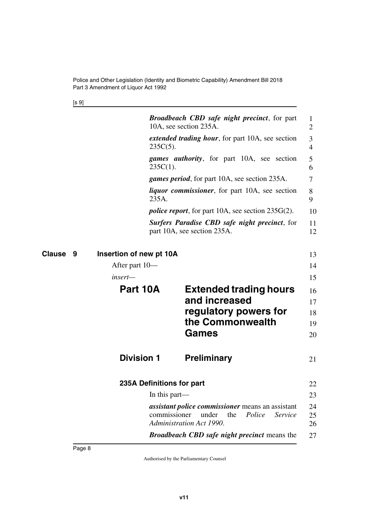<span id="page-9-5"></span><span id="page-9-3"></span><span id="page-9-2"></span>[s 9]

<span id="page-9-7"></span><span id="page-9-6"></span><span id="page-9-4"></span><span id="page-9-1"></span><span id="page-9-0"></span>

| <b>Broadbeach CBD safe night precinct, for part</b><br>10A, see section 235A.                                              | 1<br>2                              |
|----------------------------------------------------------------------------------------------------------------------------|-------------------------------------|
| extended trading hour, for part 10A, see section<br>$235C(5)$ .                                                            | 3<br>$\overline{4}$                 |
| <i>games authority</i> , for part 10A, see section<br>$235C(1)$ .                                                          | 5<br>6                              |
| <i>games period</i> , for part 10A, see section 235A.                                                                      | 7                                   |
| <i>liquor commissioner</i> , for part 10A, see section<br>235A.                                                            | 8<br>9                              |
| <i>police report</i> , for part 10A, see section $235G(2)$ .                                                               | 10                                  |
| <b>Surfers Paradise CBD safe night precinct, for</b><br>part 10A, see section 235A.                                        | 11<br>12                            |
| Insertion of new pt 10A<br>Clause<br>9                                                                                     | 13                                  |
| After part 10—                                                                                                             | 14                                  |
| insert—                                                                                                                    | 15                                  |
| Part 10A<br><b>Extended trading hours</b><br>and increased                                                                 | 16<br>17                            |
| regulatory powers for                                                                                                      | 18                                  |
| the Commonwealth                                                                                                           | 19                                  |
| <b>Games</b>                                                                                                               | 20                                  |
|                                                                                                                            |                                     |
| <b>Division 1</b><br><b>Preliminary</b>                                                                                    | 21                                  |
| 235A Definitions for part                                                                                                  | 22                                  |
| In this part—                                                                                                              | 23                                  |
| <i>assistant police commissioner</i> means an assistant<br>commissioner<br>under<br>the<br><b>Administration Act 1990.</b> | 24<br>Police<br>Service<br>25<br>26 |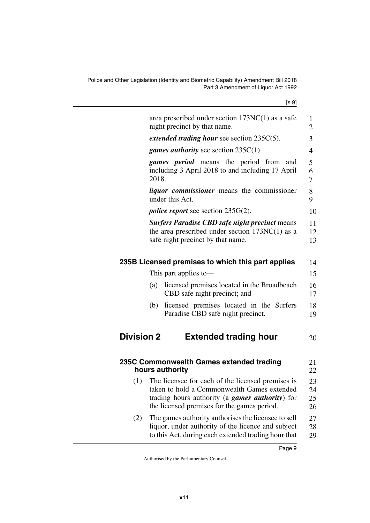<span id="page-10-5"></span><span id="page-10-4"></span><span id="page-10-3"></span><span id="page-10-2"></span><span id="page-10-1"></span><span id="page-10-0"></span>

|                                                                                                                                                                                                                                                                                                                                                                                                                                                                                                                                 |                                                                                                                                                                                                            | [s 9]                          |  |
|---------------------------------------------------------------------------------------------------------------------------------------------------------------------------------------------------------------------------------------------------------------------------------------------------------------------------------------------------------------------------------------------------------------------------------------------------------------------------------------------------------------------------------|------------------------------------------------------------------------------------------------------------------------------------------------------------------------------------------------------------|--------------------------------|--|
|                                                                                                                                                                                                                                                                                                                                                                                                                                                                                                                                 | area prescribed under section $173NC(1)$ as a safe<br>night precinct by that name.                                                                                                                         | $\mathbf{1}$<br>$\overline{2}$ |  |
|                                                                                                                                                                                                                                                                                                                                                                                                                                                                                                                                 | <i>extended trading hour see section <math>235C(5)</math>.</i>                                                                                                                                             | 3                              |  |
|                                                                                                                                                                                                                                                                                                                                                                                                                                                                                                                                 | <i>games authority</i> see section $235C(1)$ .                                                                                                                                                             | 4                              |  |
|                                                                                                                                                                                                                                                                                                                                                                                                                                                                                                                                 | games period means the period from and<br>2018.                                                                                                                                                            | 5<br>6<br>7                    |  |
|                                                                                                                                                                                                                                                                                                                                                                                                                                                                                                                                 | under this Act.                                                                                                                                                                                            | 8<br>9                         |  |
| including 3 April 2018 to and including 17 April<br><i>liquor commissioner</i> means the commissioner<br><i>police report</i> see section $235G(2)$ .<br><b>Surfers Paradise CBD safe night precinct means</b><br>the area prescribed under section $173NC(1)$ as a<br>safe night precinct by that name.<br>235B Licensed premises to which this part applies<br>This part applies to-<br>licensed premises located in the Broadbeach<br>(a)<br>CBD safe night precinct; and<br>licensed premises located in the Surfers<br>(b) |                                                                                                                                                                                                            |                                |  |
|                                                                                                                                                                                                                                                                                                                                                                                                                                                                                                                                 |                                                                                                                                                                                                            | 11<br>12<br>13                 |  |
|                                                                                                                                                                                                                                                                                                                                                                                                                                                                                                                                 |                                                                                                                                                                                                            | 14                             |  |
|                                                                                                                                                                                                                                                                                                                                                                                                                                                                                                                                 |                                                                                                                                                                                                            | 15                             |  |
|                                                                                                                                                                                                                                                                                                                                                                                                                                                                                                                                 |                                                                                                                                                                                                            | 16<br>17                       |  |
|                                                                                                                                                                                                                                                                                                                                                                                                                                                                                                                                 | Paradise CBD safe night precinct.                                                                                                                                                                          | 18<br>19                       |  |
| <b>Division 2</b>                                                                                                                                                                                                                                                                                                                                                                                                                                                                                                               | <b>Extended trading hour</b>                                                                                                                                                                               | 20                             |  |
|                                                                                                                                                                                                                                                                                                                                                                                                                                                                                                                                 | 235C Commonwealth Games extended trading<br>hours authority                                                                                                                                                | 21<br>22                       |  |
| (1)                                                                                                                                                                                                                                                                                                                                                                                                                                                                                                                             | The licensee for each of the licensed premises is<br>taken to hold a Commonwealth Games extended<br>trading hours authority (a <i>games authority</i> ) for<br>the licensed premises for the games period. | 23<br>24<br>25<br>26           |  |
| (2)                                                                                                                                                                                                                                                                                                                                                                                                                                                                                                                             | The games authority authorises the licensee to sell<br>liquor, under authority of the licence and subject<br>to this Act, during each extended trading hour that                                           | 27<br>28<br>29                 |  |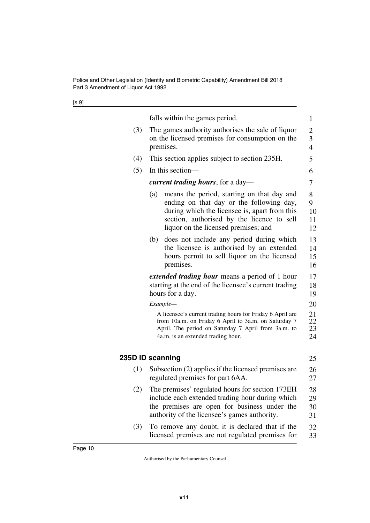| ۰.<br>۰.<br>× | ×<br>۰. |
|---------------|---------|
|---------------|---------|

<span id="page-11-1"></span><span id="page-11-0"></span>

|     | falls within the games period.                                                                                                                                                                                                       | 1                        |  |  |
|-----|--------------------------------------------------------------------------------------------------------------------------------------------------------------------------------------------------------------------------------------|--------------------------|--|--|
| (3) | The games authority authorises the sale of liquor<br>on the licensed premises for consumption on the<br>premises.                                                                                                                    |                          |  |  |
| (4) | This section applies subject to section 235H.                                                                                                                                                                                        | 5                        |  |  |
| (5) | In this section—                                                                                                                                                                                                                     | 6                        |  |  |
|     | <i>current trading hours, for a day—</i>                                                                                                                                                                                             |                          |  |  |
|     | (a)<br>means the period, starting on that day and<br>ending on that day or the following day,<br>during which the licensee is, apart from this<br>section, authorised by the licence to sell<br>liquor on the licensed premises; and | 8<br>9<br>10<br>11<br>12 |  |  |
|     | does not include any period during which<br>(b)<br>the licensee is authorised by an extended<br>hours permit to sell liquor on the licensed<br>premises.                                                                             | 13<br>14<br>15<br>16     |  |  |
|     | <i>extended trading hour</i> means a period of 1 hour                                                                                                                                                                                | 17                       |  |  |
|     | starting at the end of the licensee's current trading<br>hours for a day.                                                                                                                                                            | 18<br>19                 |  |  |
|     | Example-                                                                                                                                                                                                                             | 20                       |  |  |
|     | A licensee's current trading hours for Friday 6 April are<br>from 10a.m. on Friday 6 April to 3a.m. on Saturday 7<br>April. The period on Saturday 7 April from 3a.m. to<br>4a.m. is an extended trading hour.                       | 21<br>22<br>23<br>24     |  |  |
|     | 235D ID scanning                                                                                                                                                                                                                     | 25                       |  |  |
| (1) | Subsection $(2)$ applies if the licensed premises are<br>regulated premises for part 6AA.                                                                                                                                            | 26<br>27                 |  |  |
| (2) | The premises' regulated hours for section 173EH<br>include each extended trading hour during which<br>the premises are open for business under the<br>authority of the licensee's games authority.                                   | 28<br>29<br>30<br>31     |  |  |
| (3) | To remove any doubt, it is declared that if the<br>licensed premises are not regulated premises for                                                                                                                                  | 32<br>33                 |  |  |
|     |                                                                                                                                                                                                                                      |                          |  |  |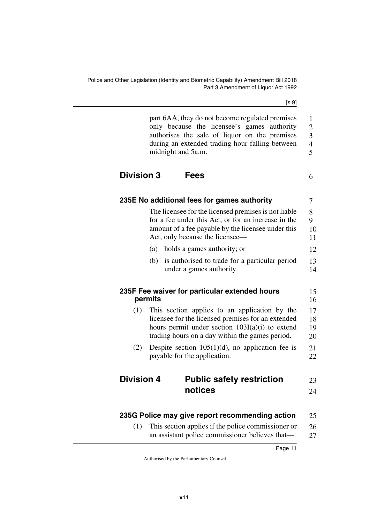[s 9]

<span id="page-12-3"></span><span id="page-12-2"></span><span id="page-12-1"></span><span id="page-12-0"></span>

|                   | part 6AA, they do not become regulated premises<br>only because the licensee's games authority<br>authorises the sale of liquor on the premises<br>during an extended trading hour falling between<br>midnight and 5a.m. | 1<br>$\overline{c}$<br>3<br>$\overline{4}$<br>5 |
|-------------------|--------------------------------------------------------------------------------------------------------------------------------------------------------------------------------------------------------------------------|-------------------------------------------------|
| <b>Division 3</b> | <b>Fees</b>                                                                                                                                                                                                              | 6                                               |
|                   | 235E No additional fees for games authority                                                                                                                                                                              | 7                                               |
|                   | The licensee for the licensed premises is not liable<br>for a fee under this Act, or for an increase in the<br>amount of a fee payable by the licensee under this<br>Act, only because the licensee-                     | 8<br>9<br>10<br>11                              |
|                   | holds a games authority; or<br>(a)                                                                                                                                                                                       | 12                                              |
|                   | is authorised to trade for a particular period<br>(b)<br>under a games authority.                                                                                                                                        | 13<br>14                                        |
|                   | 235F Fee waiver for particular extended hours<br>permits                                                                                                                                                                 | 15<br>16                                        |
| (1)               | This section applies to an application by the<br>licensee for the licensed premises for an extended<br>hours permit under section 103I(a)(i) to extend<br>trading hours on a day within the games period.                | 17<br>18<br>19<br>20                            |
| (2)               | Despite section $105(1)(d)$ , no application fee is<br>payable for the application.                                                                                                                                      | 21<br>22                                        |
| <b>Division 4</b> | <b>Public safety restriction</b>                                                                                                                                                                                         | 23                                              |
|                   | notices                                                                                                                                                                                                                  | 24                                              |
|                   | 235G Police may give report recommending action                                                                                                                                                                          | 25                                              |
|                   | $(1)$ This section applies if the police commissioner or                                                                                                                                                                 | 26.                                             |

<span id="page-12-9"></span><span id="page-12-8"></span><span id="page-12-7"></span><span id="page-12-6"></span><span id="page-12-5"></span><span id="page-12-4"></span>(1) This section applies if the police commissioner or an assistant police commissioner believes that— 26 27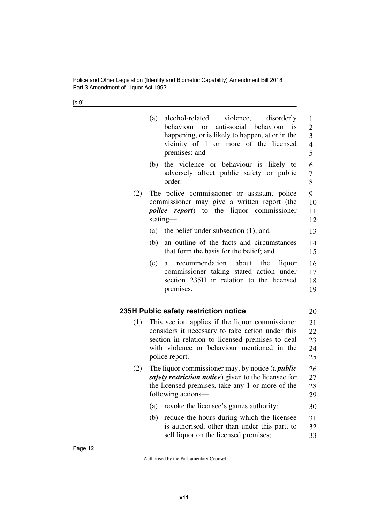[s 9]

<span id="page-13-1"></span><span id="page-13-0"></span>

|     | (a) | alcohol-related<br>violence,<br>disorderly<br>behaviour<br>anti-social<br>behaviour<br><sup>is</sup><br>$\alpha$<br>happening, or is likely to happen, at or in the<br>vicinity of 1 or more of the licensed<br>premises; and | 1<br>$\overline{2}$<br>3<br>$\overline{4}$<br>5 |
|-----|-----|-------------------------------------------------------------------------------------------------------------------------------------------------------------------------------------------------------------------------------|-------------------------------------------------|
|     | (b) | the violence or behaviour is<br>likely to<br>adversely affect public safety<br>or public<br>order.                                                                                                                            | 6<br>$\overline{7}$<br>8                        |
| (2) |     | The police commissioner or assistant police<br>commissioner may give a written report (the<br><i>police report</i> ) to the<br>liquor commissioner<br>stating-                                                                | 9<br>10<br>11<br>12                             |
|     | (a) | the belief under subsection $(1)$ ; and                                                                                                                                                                                       | 13                                              |
|     | (b) | an outline of the facts and circumstances<br>that form the basis for the belief; and                                                                                                                                          | 14<br>15                                        |
|     | (c) | recommendation<br>about the<br>liquor<br>a<br>commissioner taking stated action under<br>section 235H in relation to the licensed<br>premises.                                                                                | 16<br>17<br>18<br>19                            |
|     |     | 235H Public safety restriction notice                                                                                                                                                                                         | 20                                              |
| (1) |     | This section applies if the liquor commissioner<br>considers it necessary to take action under this<br>section in relation to licensed premises to deal<br>with violence or behaviour mentioned in the<br>police report.      | 21<br>22<br>23<br>24<br>25                      |
| (2) |     | The liquor commissioner may, by notice (a <i>public</i><br>safety restriction notice) given to the licensee for<br>the licensed premises, take any 1 or more of the<br>following actions—                                     | 26<br>27<br>28<br>29                            |
|     | (a) | revoke the licensee's games authority;                                                                                                                                                                                        | 30                                              |
|     | (b) | reduce the hours during which the licensee<br>is authorised, other than under this part, to<br>sell liquor on the licensed premises;                                                                                          | 31<br>32<br>33                                  |
|     |     |                                                                                                                                                                                                                               |                                                 |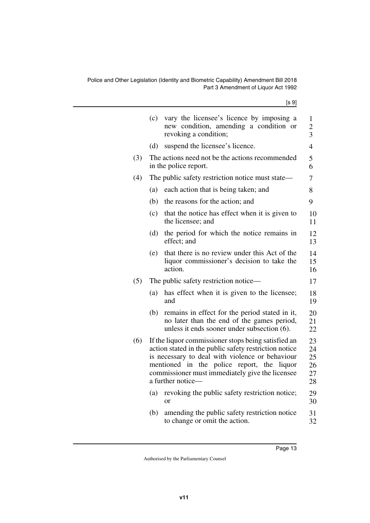[s 9]

|     | (c) | vary the licensee's licence by imposing a<br>new condition, amending a condition or<br>revoking a condition;                                                                                                                                                                          | 1<br>$\overline{c}$<br>$\overline{3}$ |
|-----|-----|---------------------------------------------------------------------------------------------------------------------------------------------------------------------------------------------------------------------------------------------------------------------------------------|---------------------------------------|
|     | (d) | suspend the licensee's licence.                                                                                                                                                                                                                                                       | $\overline{4}$                        |
| (3) |     | The actions need not be the actions recommended<br>in the police report.                                                                                                                                                                                                              | 5<br>6                                |
| (4) |     | The public safety restriction notice must state—                                                                                                                                                                                                                                      | 7                                     |
|     | (a) | each action that is being taken; and                                                                                                                                                                                                                                                  | 8                                     |
|     | (b) | the reasons for the action; and                                                                                                                                                                                                                                                       | 9                                     |
|     | (c) | that the notice has effect when it is given to<br>the licensee; and                                                                                                                                                                                                                   | 10<br>11                              |
|     | (d) | the period for which the notice remains in<br>effect; and                                                                                                                                                                                                                             | 12<br>13                              |
|     | (e) | that there is no review under this Act of the<br>liquor commissioner's decision to take the<br>action.                                                                                                                                                                                | 14<br>15<br>16                        |
| (5) |     | The public safety restriction notice—                                                                                                                                                                                                                                                 | 17                                    |
|     | (a) | has effect when it is given to the licensee;<br>and                                                                                                                                                                                                                                   | 18<br>19                              |
|     | (b) | remains in effect for the period stated in it,<br>no later than the end of the games period,<br>unless it ends sooner under subsection (6).                                                                                                                                           | 20<br>21<br>22                        |
| (6) |     | If the liquor commissioner stops being satisfied an<br>action stated in the public safety restriction notice<br>is necessary to deal with violence or behaviour<br>mentioned in the police report, the liquor<br>commissioner must immediately give the licensee<br>a further notice- | 23<br>24<br>25<br>26<br>27<br>28      |
|     | (a) | revoking the public safety restriction notice;<br><sub>or</sub>                                                                                                                                                                                                                       | 29<br>30                              |
|     | (b) | amending the public safety restriction notice<br>to change or omit the action.                                                                                                                                                                                                        | 31<br>32                              |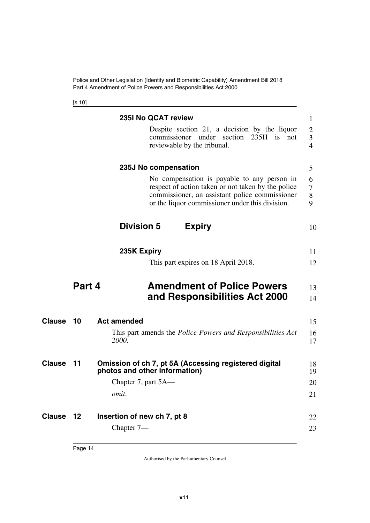Police and Other Legislation (Identity and Biometric Capability) Amendment Bill 2018 Part 4 Amendment of Police Powers and Responsibilities Act 2000

<span id="page-15-9"></span><span id="page-15-7"></span><span id="page-15-5"></span><span id="page-15-4"></span><span id="page-15-3"></span><span id="page-15-2"></span><span id="page-15-1"></span><span id="page-15-0"></span>[s 10]

<span id="page-15-15"></span><span id="page-15-14"></span><span id="page-15-13"></span><span id="page-15-12"></span><span id="page-15-11"></span><span id="page-15-10"></span><span id="page-15-8"></span><span id="page-15-6"></span>

|               |        | 235I No QCAT review                                                                                                                                                                                    | 1                                     |
|---------------|--------|--------------------------------------------------------------------------------------------------------------------------------------------------------------------------------------------------------|---------------------------------------|
|               |        | Despite section 21, a decision by the liquor<br>commissioner under section 235H is<br>not<br>reviewable by the tribunal.                                                                               | $\overline{2}$<br>3<br>$\overline{4}$ |
|               |        | 235J No compensation                                                                                                                                                                                   | 5                                     |
|               |        | No compensation is payable to any person in<br>respect of action taken or not taken by the police<br>commissioner, an assistant police commissioner<br>or the liquor commissioner under this division. | 6<br>7<br>8<br>9                      |
|               |        | <b>Division 5</b><br><b>Expiry</b>                                                                                                                                                                     | 10                                    |
|               |        | 235K Expiry                                                                                                                                                                                            | 11                                    |
|               |        | This part expires on 18 April 2018.                                                                                                                                                                    | 12                                    |
|               | Part 4 | <b>Amendment of Police Powers</b><br>and Responsibilities Act 2000                                                                                                                                     | 13<br>14                              |
| <b>Clause</b> | 10     | <b>Act amended</b>                                                                                                                                                                                     | 15                                    |
|               |        | This part amends the <i>Police Powers and Responsibilities Act</i><br>2000.                                                                                                                            | 16<br>17                              |
| <b>Clause</b> | 11     | Omission of ch 7, pt 5A (Accessing registered digital<br>photos and other information)                                                                                                                 | 18<br>19                              |
|               |        | Chapter 7, part 5A—                                                                                                                                                                                    | 20                                    |
|               |        | omit.                                                                                                                                                                                                  | 21                                    |
|               |        |                                                                                                                                                                                                        |                                       |
| <b>Clause</b> | 12     | Insertion of new ch 7, pt 8                                                                                                                                                                            | 22                                    |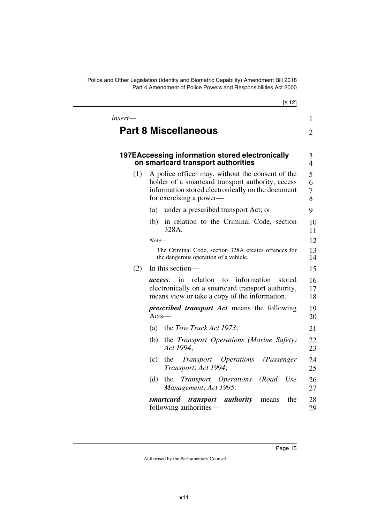Police and Other Legislation (Identity and Biometric Capability) Amendment Bill 2018 Part 4 Amendment of Police Powers and Responsibilities Act 2000

<span id="page-16-2"></span><span id="page-16-1"></span><span id="page-16-0"></span>

|         | [s 12]                                                                                                                                                                                |                     |
|---------|---------------------------------------------------------------------------------------------------------------------------------------------------------------------------------------|---------------------|
| insert— |                                                                                                                                                                                       | $\mathbf{1}$        |
|         | <b>Part 8 Miscellaneous</b>                                                                                                                                                           | $\overline{2}$      |
|         |                                                                                                                                                                                       |                     |
|         | 197EAccessing information stored electronically<br>on smartcard transport authorities                                                                                                 | 3<br>$\overline{4}$ |
| (1)     | A police officer may, without the consent of the<br>holder of a smartcard transport authority, access<br>information stored electronically on the document<br>for exercising a power— | 5<br>6<br>7<br>8    |
|         | under a prescribed transport Act; or<br>(a)                                                                                                                                           | 9                   |
|         | in relation to the Criminal Code, section<br>(b)<br>328A.                                                                                                                             | 10<br>11            |
|         | $Note-$                                                                                                                                                                               | 12                  |
|         | The Criminal Code, section 328A creates offences for<br>the dangerous operation of a vehicle.                                                                                         | 13<br>14            |
| (2)     | In this section—                                                                                                                                                                      | 15                  |
|         | relation<br>information<br>in<br>to<br>stored<br>access.<br>electronically on a smartcard transport authority,<br>means view or take a copy of the information.                       | 16<br>17<br>18      |
|         | <i>prescribed transport Act</i> means the following<br>$Acts-$                                                                                                                        | 19<br>20            |
|         | the Tow Truck Act 1973;<br>(a)                                                                                                                                                        | 21                  |
|         | (b)<br>the Transport Operations (Marine Safety)<br>Act 1994;                                                                                                                          | 22<br>23            |
|         | <i><b>Operations</b></i><br>(c)<br>the<br>Transport<br>(Passenger<br>Transport) Act 1994;                                                                                             | 24<br>25            |
|         | the<br>Transport Operations<br>(Road<br>Use<br>(d)<br>Management) Act 1995.                                                                                                           | 26<br>27            |
|         | transport authority<br>smartcard<br>the<br>means<br>following authorities—                                                                                                            | 28<br>29            |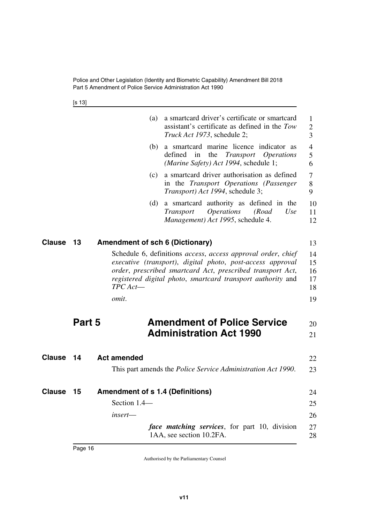[s 13]

<span id="page-17-7"></span><span id="page-17-6"></span><span id="page-17-5"></span><span id="page-17-4"></span><span id="page-17-3"></span><span id="page-17-2"></span><span id="page-17-1"></span><span id="page-17-0"></span>

|               |        | (a)                                     | a smartcard driver's certificate or smartcard<br>assistant's certificate as defined in the Tow<br>Truck Act 1973, schedule 2;                                                                                                                           | 1<br>$\overline{2}$<br>3         |
|---------------|--------|-----------------------------------------|---------------------------------------------------------------------------------------------------------------------------------------------------------------------------------------------------------------------------------------------------------|----------------------------------|
|               |        | (b)                                     | a smartcard marine licence indicator as<br>defined in<br>the<br>Transport<br><i><b>Operations</b></i><br>(Marine Safety) Act 1994, schedule 1;                                                                                                          | $\overline{4}$<br>5<br>6         |
|               |        | (c)                                     | a smartcard driver authorisation as defined<br>in the Transport Operations (Passenger<br>Transport) Act 1994, schedule 3;                                                                                                                               | 7<br>8<br>9                      |
|               |        | (d)                                     | a smartcard authority as defined in the<br><i><b>Operations</b></i><br>(Road<br><i>Transport</i><br>Use<br>Management) Act 1995, schedule 4.                                                                                                            | 10<br>11<br>12                   |
| <b>Clause</b> | 13     | <b>Amendment of sch 6 (Dictionary)</b>  |                                                                                                                                                                                                                                                         | 13                               |
|               |        | $TPC$ Act-<br>omit.                     | Schedule 6, definitions access, access approval order, chief<br>executive (transport), digital photo, post-access approval<br>order, prescribed smartcard Act, prescribed transport Act,<br>registered digital photo, smartcard transport authority and | 14<br>15<br>16<br>17<br>18<br>19 |
|               |        |                                         |                                                                                                                                                                                                                                                         |                                  |
|               | Part 5 |                                         | <b>Amendment of Police Service</b><br><b>Administration Act 1990</b>                                                                                                                                                                                    | 20<br>21                         |
| Clause        | 14     | <b>Act amended</b>                      |                                                                                                                                                                                                                                                         | 22                               |
|               |        |                                         | This part amends the <i>Police Service Administration Act 1990</i> .                                                                                                                                                                                    | 23                               |
| Clause        | 15     | <b>Amendment of s 1.4 (Definitions)</b> |                                                                                                                                                                                                                                                         | 24                               |
|               |        | Section 1.4-                            |                                                                                                                                                                                                                                                         | 25                               |
|               |        | $insert$ —                              |                                                                                                                                                                                                                                                         | 26                               |
|               |        |                                         | <i>face matching services</i> , for part 10, division<br>1AA, see section 10.2FA.                                                                                                                                                                       | 27<br>28                         |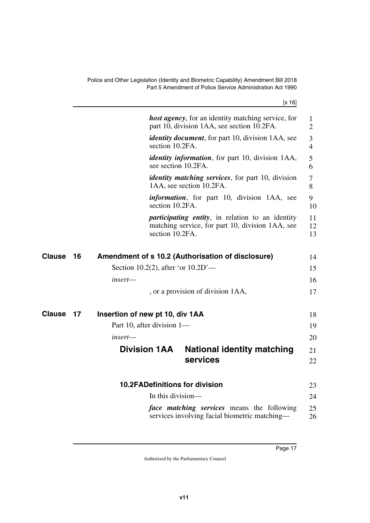<span id="page-18-5"></span>

| ۰. |  |
|----|--|
|    |  |

<span id="page-18-7"></span><span id="page-18-6"></span><span id="page-18-4"></span><span id="page-18-3"></span><span id="page-18-2"></span><span id="page-18-1"></span><span id="page-18-0"></span>

|               |    | <b>host agency</b> , for an identity matching service, for<br>part 10, division 1AA, see section 10.2FA.                        | 1<br>$\overline{2}$ |
|---------------|----|---------------------------------------------------------------------------------------------------------------------------------|---------------------|
|               |    | <i>identity document</i> , for part 10, division 1AA, see<br>section 10.2FA.                                                    | 3<br>$\overline{4}$ |
|               |    | <i>identity information</i> , for part 10, division 1AA,<br>see section 10.2FA.                                                 | 5<br>6              |
|               |    | <i>identity matching services</i> , for part 10, division<br>1AA, see section 10.2FA.                                           | 7<br>8              |
|               |    | <i>information</i> , for part 10, division 1AA, see<br>section 10.2FA.                                                          | 9<br>10             |
|               |    | <i>participating entity</i> , in relation to an identity<br>matching service, for part 10, division 1AA, see<br>section 10.2FA. | 11<br>12<br>13      |
| Clause        | 16 | Amendment of s 10.2 (Authorisation of disclosure)                                                                               | 14                  |
|               |    | Section 10.2(2), after 'or $10.2D'$ —                                                                                           | 15                  |
|               |    | insert—                                                                                                                         | 16                  |
|               |    | , or a provision of division 1AA,                                                                                               | 17                  |
| <b>Clause</b> | 17 | Insertion of new pt 10, div 1AA                                                                                                 | 18                  |
|               |    | Part 10, after division 1—                                                                                                      | 19                  |
|               |    | insert—                                                                                                                         | 20                  |
|               |    | <b>Division 1AA</b><br><b>National identity matching</b>                                                                        | 21                  |
|               |    | services                                                                                                                        | 22                  |
|               |    | <b>10.2FADefinitions for division</b>                                                                                           | 23                  |
|               |    | In this division-                                                                                                               | 24                  |
|               |    | <i>face matching services</i> means the following<br>services involving facial biometric matching—                              | 25<br>26            |
|               |    |                                                                                                                                 |                     |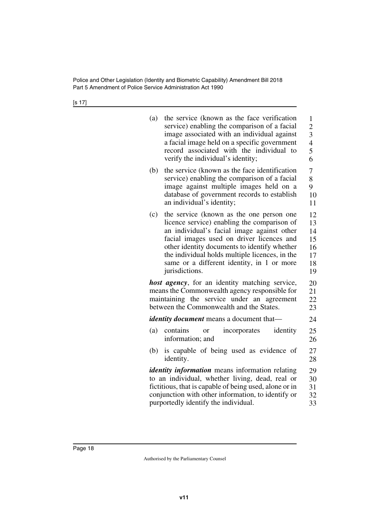| (a) | the service (known as the face verification<br>service) enabling the comparison of a facial<br>image associated with an individual against<br>a facial image held on a specific government<br>record associated with the individual to<br>verify the individual's identity;                                                                          | $\mathbf{1}$<br>$\overline{c}$<br>3<br>$\overline{4}$<br>5<br>6 |
|-----|------------------------------------------------------------------------------------------------------------------------------------------------------------------------------------------------------------------------------------------------------------------------------------------------------------------------------------------------------|-----------------------------------------------------------------|
| (b) | the service (known as the face identification<br>service) enabling the comparison of a facial<br>image against multiple images held on a<br>database of government records to establish<br>an individual's identity;                                                                                                                                 | 7<br>8<br>9<br>10<br>11                                         |
| (c) | the service (known as the one person one<br>licence service) enabling the comparison of<br>an individual's facial image against other<br>facial images used on driver licences and<br>other identity documents to identify whether<br>the individual holds multiple licences, in the<br>same or a different identity, in 1 or more<br>jurisdictions. | 12<br>13<br>14<br>15<br>16<br>17<br>18<br>19                    |
|     | host agency, for an identity matching service,<br>means the Commonwealth agency responsible for<br>maintaining the service under an agreement<br>between the Commonwealth and the States.                                                                                                                                                            | 20<br>21<br>22<br>23                                            |
|     | <i>identity document</i> means a document that-                                                                                                                                                                                                                                                                                                      | 24                                                              |
| (a) | contains<br>incorporates<br>identity<br><b>or</b><br>information; and                                                                                                                                                                                                                                                                                | 25<br>26                                                        |
| (b) | is capable of being used as evidence of<br>identity.                                                                                                                                                                                                                                                                                                 | 27<br>28                                                        |
|     | <i>identity information</i> means information relating<br>to an individual, whether living, dead, real or<br>fictitious, that is capable of being used, alone or in<br>conjunction with other information, to identify or<br>purportedly identify the individual.                                                                                    | 29<br>30<br>31<br>32<br>33                                      |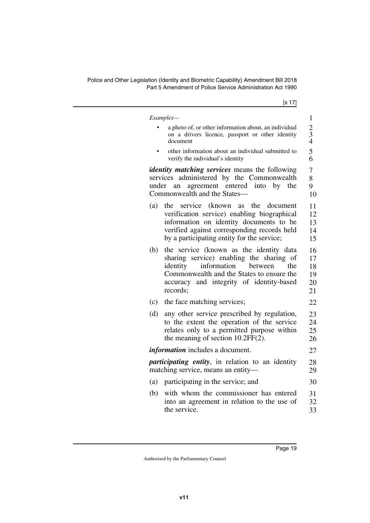|       | Examples-                                                                                                                                                                                                                             |
|-------|---------------------------------------------------------------------------------------------------------------------------------------------------------------------------------------------------------------------------------------|
|       | a photo of, or other information about, an individual<br>on a drivers licence, passport or other identity<br>document                                                                                                                 |
|       | other information about an individual submitted to<br>verify the individual's identity                                                                                                                                                |
| under | <i>identity matching services</i> means the following<br>services administered by the Commonwealth<br>agreement entered<br>into<br>by<br>the<br>an<br>Commonwealth and the States-                                                    |
| (a)   | service<br>(known as<br>the document<br>the<br>verification service) enabling biographical<br>information on identity documents to be<br>verified against corresponding records held<br>by a participating entity for the service;    |
| (b)   | the service (known as the identity data<br>sharing service) enabling the sharing of<br>information<br>identity<br>between<br>the<br>Commonwealth and the States to ensure the<br>accuracy and integrity of identity-based<br>records: |
| (c)   | the face matching services;                                                                                                                                                                                                           |
| (d)   | any other service prescribed by regulation,<br>to the extent the operation of the service<br>relates only to a permitted purpose within<br>the meaning of section 10.2FF(2).                                                          |
|       | <i>information</i> includes a document.                                                                                                                                                                                               |
|       | <i>participating entity</i> , in relation to an identity<br>matching service, means an entity-                                                                                                                                        |
| (a)   | participating in the service; and                                                                                                                                                                                                     |
| (b)   | with whom the commissioner has entered<br>into an agreement in relation to the use of<br>the service.                                                                                                                                 |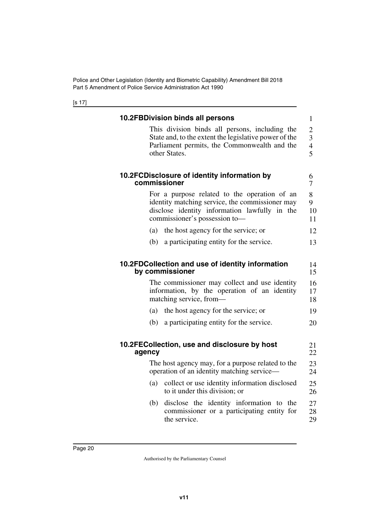<span id="page-21-7"></span><span id="page-21-6"></span><span id="page-21-5"></span><span id="page-21-4"></span><span id="page-21-3"></span><span id="page-21-2"></span><span id="page-21-1"></span><span id="page-21-0"></span>

|        | <b>10.2FBDivision binds all persons</b>                                                                                                                                           | $\mathbf{1}$                                       |
|--------|-----------------------------------------------------------------------------------------------------------------------------------------------------------------------------------|----------------------------------------------------|
|        | This division binds all persons, including the<br>State and, to the extent the legislative power of the<br>Parliament permits, the Commonwealth and the<br>other States.          | $\mathbf{2}$<br>3<br>$\overline{\mathcal{L}}$<br>5 |
|        | 10.2FCDisclosure of identity information by<br>commissioner                                                                                                                       | 6<br>7                                             |
|        | For a purpose related to the operation of an<br>identity matching service, the commissioner may<br>disclose identity information lawfully in the<br>commissioner's possession to- | 8<br>9<br>10<br>11                                 |
| (a)    | the host agency for the service; or                                                                                                                                               | 12                                                 |
| (b)    | a participating entity for the service.                                                                                                                                           | 13                                                 |
|        | by commissioner<br>The commissioner may collect and use identity<br>information, by the operation of an identity<br>matching service, from-                                       | 15<br>16<br>17<br>18                               |
| (a)    | the host agency for the service; or                                                                                                                                               | 19                                                 |
| (b)    | a participating entity for the service.                                                                                                                                           | 20                                                 |
| agency | 10.2FECollection, use and disclosure by host                                                                                                                                      | 21<br>22                                           |
|        | The host agency may, for a purpose related to the<br>operation of an identity matching service—                                                                                   | 23<br>24                                           |
| (a)    | collect or use identity information disclosed<br>to it under this division; or                                                                                                    | 25<br>26                                           |
| (b)    | disclose the identity information to the<br>commissioner or a participating entity for                                                                                            | 27<br>28                                           |
|        | the service.                                                                                                                                                                      | 29                                                 |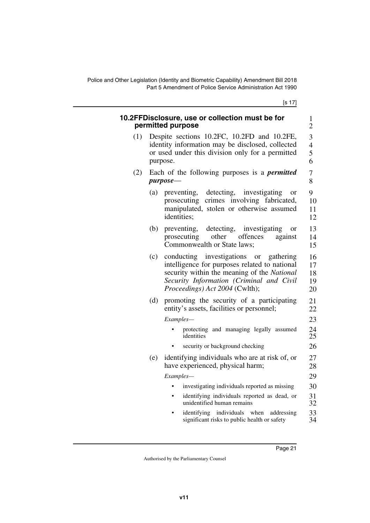<span id="page-22-1"></span><span id="page-22-0"></span>

|     | 10.2FFDisclosure, use or collection must be for<br>permitted purpose                                                                                                                                                                        | $\mathbf{1}$<br>$\overline{c}$ |  |
|-----|---------------------------------------------------------------------------------------------------------------------------------------------------------------------------------------------------------------------------------------------|--------------------------------|--|
| (1) | Despite sections 10.2FC, 10.2FD and 10.2FE,<br>identity information may be disclosed, collected<br>or used under this division only for a permitted<br>purpose.                                                                             |                                |  |
| (2) | Each of the following purposes is a <i>permitted</i><br>$purpose$ —                                                                                                                                                                         | $\overline{7}$<br>8            |  |
|     | (a)<br>preventing, detecting,<br>investigating<br><sub>or</sub><br>prosecuting crimes involving fabricated,<br>manipulated, stolen or otherwise assumed<br>identities;                                                                      | 9<br>10<br>11<br>12            |  |
|     | detecting,<br>investigating<br>(b)<br>preventing,<br><sub>or</sub><br>other<br>offences<br>prosecuting<br>against<br>Commonwealth or State laws:                                                                                            | 13<br>14<br>15                 |  |
|     | investigations<br>conducting<br>(c)<br><b>or</b><br>gathering<br>intelligence for purposes related to national<br>security within the meaning of the National<br>Security Information (Criminal and Civil<br>Proceedings) Act 2004 (Cwlth); | 16<br>17<br>18<br>19<br>20     |  |
|     | promoting the security of a participating<br>(d)<br>entity's assets, facilities or personnel;                                                                                                                                               | 21<br>22                       |  |
|     | Examples-                                                                                                                                                                                                                                   | 23                             |  |
|     | protecting and managing legally assumed<br>identities                                                                                                                                                                                       | 24<br>25                       |  |
|     | security or background checking<br>$\bullet$                                                                                                                                                                                                | 26                             |  |
|     | identifying individuals who are at risk of, or<br>(e)<br>have experienced, physical harm;                                                                                                                                                   | 27<br>28                       |  |
|     | Examples-                                                                                                                                                                                                                                   | 29                             |  |
|     | investigating individuals reported as missing<br>$\bullet$                                                                                                                                                                                  | 30                             |  |
|     | identifying individuals reported as dead, or<br>$\bullet$<br>unidentified human remains                                                                                                                                                     | 31<br>32                       |  |
|     | identifying individuals when<br>addressing<br>significant risks to public health or safety                                                                                                                                                  | 33<br>34                       |  |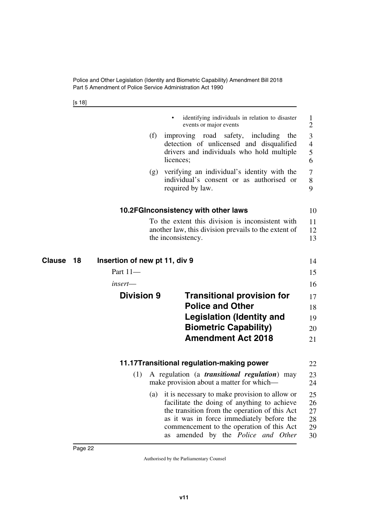<span id="page-23-7"></span><span id="page-23-5"></span><span id="page-23-4"></span><span id="page-23-1"></span><span id="page-23-0"></span>[s 18]

<span id="page-23-6"></span><span id="page-23-3"></span><span id="page-23-2"></span>

|                      |                               | identifying individuals in relation to disaster<br>events or major events                                                                                                                                                                                                     | 1<br>2                           |
|----------------------|-------------------------------|-------------------------------------------------------------------------------------------------------------------------------------------------------------------------------------------------------------------------------------------------------------------------------|----------------------------------|
|                      | (f)                           | improving road safety,<br>including<br>the<br>detection of unlicensed and disqualified<br>drivers and individuals who hold multiple<br>licences;                                                                                                                              | 3<br>$\overline{4}$<br>5<br>6    |
|                      | (g)                           | verifying an individual's identity with the<br>individual's consent or as authorised or<br>required by law.                                                                                                                                                                   | 7<br>8<br>9                      |
|                      |                               | 10.2FGInconsistency with other laws                                                                                                                                                                                                                                           | 10                               |
|                      |                               | To the extent this division is inconsistent with<br>another law, this division prevails to the extent of<br>the inconsistency.                                                                                                                                                | 11<br>12<br>13                   |
| <b>Clause</b><br>-18 | Insertion of new pt 11, div 9 |                                                                                                                                                                                                                                                                               | 14                               |
|                      | Part 11-                      |                                                                                                                                                                                                                                                                               | 15                               |
|                      | insert—                       |                                                                                                                                                                                                                                                                               | 16                               |
|                      | <b>Division 9</b>             | <b>Transitional provision for</b><br><b>Police and Other</b><br><b>Legislation (Identity and</b><br><b>Biometric Capability)</b><br><b>Amendment Act 2018</b>                                                                                                                 | 17<br>18<br>19<br>20<br>21       |
|                      |                               |                                                                                                                                                                                                                                                                               |                                  |
|                      |                               | 11.17Transitional regulation-making power                                                                                                                                                                                                                                     | 22                               |
|                      | (1)                           | A regulation (a <i>transitional regulation</i> )<br>may<br>make provision about a matter for which-                                                                                                                                                                           | 23<br>24                         |
|                      | (a)                           | it is necessary to make provision to allow or<br>facilitate the doing of anything to achieve<br>the transition from the operation of this Act<br>as it was in force immediately before the<br>commencement to the operation of this Act<br>as amended by the Police and Other | 25<br>26<br>27<br>28<br>29<br>30 |
|                      |                               |                                                                                                                                                                                                                                                                               |                                  |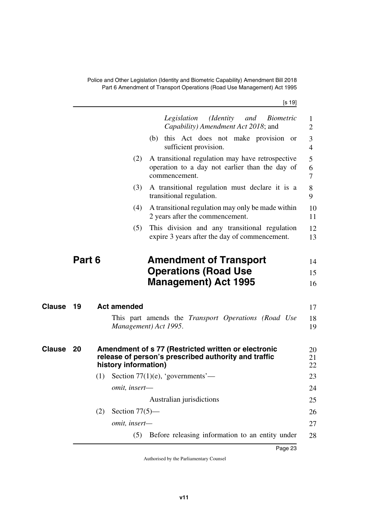Police and Other Legislation (Identity and Biometric Capability) Amendment Bill 2018 Part 6 Amendment of Transport Operations (Road Use Management) Act 1995

[s 19]

<span id="page-24-5"></span><span id="page-24-4"></span><span id="page-24-3"></span><span id="page-24-2"></span><span id="page-24-1"></span><span id="page-24-0"></span>

|               |        |                          | (Identity)<br>Legislation<br>and<br><i>Biometric</i>                                                                |                     |
|---------------|--------|--------------------------|---------------------------------------------------------------------------------------------------------------------|---------------------|
|               |        |                          | Capability) Amendment Act 2018; and                                                                                 | 1<br>2              |
|               |        |                          | (b) this Act does not make provision or<br>sufficient provision.                                                    | 3<br>$\overline{4}$ |
|               |        | (2)                      | A transitional regulation may have retrospective<br>operation to a day not earlier than the day of<br>commencement. | 5<br>6<br>7         |
|               |        | (3)                      | A transitional regulation must declare it is a<br>transitional regulation.                                          | 8<br>9              |
|               |        | (4)                      | A transitional regulation may only be made within<br>2 years after the commencement.                                | 10<br>11            |
|               |        | (5)                      | This division and any transitional regulation<br>expire 3 years after the day of commencement.                      | 12<br>13            |
|               | Part 6 |                          | <b>Amendment of Transport</b>                                                                                       | 14                  |
|               |        |                          | <b>Operations (Road Use</b>                                                                                         | 15                  |
|               |        |                          | <b>Management</b> ) Act 1995                                                                                        | 16                  |
| <b>Clause</b> | 19     | <b>Act amended</b>       |                                                                                                                     | 17                  |
|               |        |                          | This part amends the <i>Transport Operations (Road Use</i><br>Management) Act 1995.                                 | 18<br>19            |
| Clause        | 20     | history information)     | Amendment of s 77 (Restricted written or electronic<br>release of person's prescribed authority and traffic         | 20<br>21<br>22      |
|               |        | (1)                      | Section $77(1)(e)$ , 'governments'—                                                                                 | 23                  |
|               |        | omit, insert-            |                                                                                                                     | 24                  |
|               |        |                          | Australian jurisdictions                                                                                            | 25                  |
|               |        | Section $77(5)$ —<br>(2) |                                                                                                                     | 26                  |
|               |        | omit, insert-            |                                                                                                                     | 27                  |
|               |        |                          |                                                                                                                     |                     |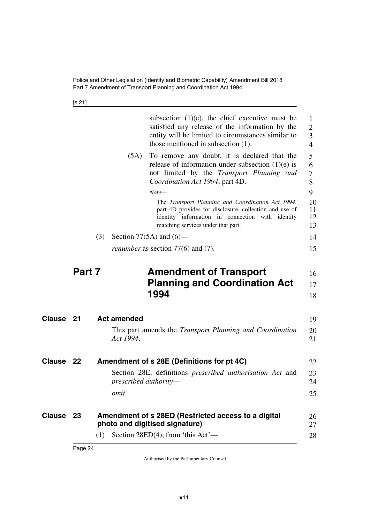<span id="page-25-1"></span>[s 21]

<span id="page-25-7"></span><span id="page-25-6"></span><span id="page-25-5"></span><span id="page-25-4"></span><span id="page-25-3"></span><span id="page-25-2"></span><span id="page-25-0"></span>

|        |        |                    | subsection $(1)(e)$ , the chief executive must be<br>satisfied any release of the information by the<br>entity will be limited to circumstances similar to<br>those mentioned in subsection (1).      | $\mathbf{1}$<br>$\overline{2}$<br>3<br>$\overline{4}$ |
|--------|--------|--------------------|-------------------------------------------------------------------------------------------------------------------------------------------------------------------------------------------------------|-------------------------------------------------------|
|        |        | (5A)               | To remove any doubt, it is declared that the<br>release of information under subsection $(1)(e)$ is<br>not limited by the Transport Planning and<br>Coordination Act 1994, part 4D.                   | 5<br>6<br>7<br>8                                      |
|        |        |                    | $Note-$                                                                                                                                                                                               | 9                                                     |
|        |        |                    | The Transport Planning and Coordination Act 1994,<br>part 4D provides for disclosure, collection and use of<br>identity information in connection with identity<br>matching services under that part. | 10<br>11<br>12<br>13                                  |
|        |        | (3)                | Section 77(5A) and $(6)$ —                                                                                                                                                                            | 14                                                    |
|        |        |                    | <i>renumber</i> as section $77(6)$ and $(7)$ .                                                                                                                                                        | 15                                                    |
|        | Part 7 |                    | <b>Amendment of Transport</b>                                                                                                                                                                         |                                                       |
|        |        |                    |                                                                                                                                                                                                       | 16                                                    |
|        |        |                    | <b>Planning and Coordination Act</b>                                                                                                                                                                  | 17                                                    |
|        |        |                    | 1994                                                                                                                                                                                                  | 18                                                    |
| Clause | 21     | <b>Act amended</b> |                                                                                                                                                                                                       | 19                                                    |
|        |        | Act 1994.          | This part amends the <i>Transport Planning and Coordination</i>                                                                                                                                       | 20<br>21                                              |
| Clause | 22     |                    | Amendment of s 28E (Definitions for pt 4C)                                                                                                                                                            | 22                                                    |
|        |        |                    | Section 28E, definitions <i>prescribed authorisation Act</i> and<br>prescribed authority-                                                                                                             | 23<br>24                                              |
|        |        | omit.              |                                                                                                                                                                                                       | 25                                                    |
| Clause | 23     |                    | Amendment of s 28ED (Restricted access to a digital<br>photo and digitised signature)                                                                                                                 | 26<br>27                                              |
|        |        | (1)                | Section 28ED(4), from 'this $Act'$ —                                                                                                                                                                  | 28                                                    |
|        |        |                    |                                                                                                                                                                                                       |                                                       |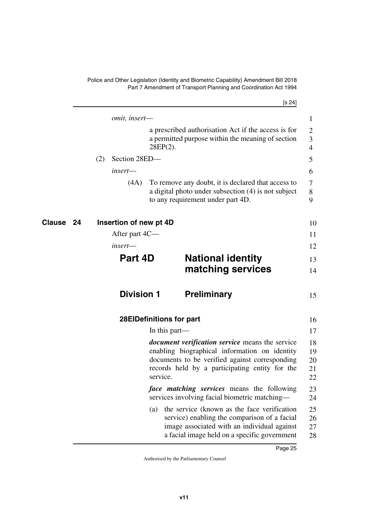<span id="page-26-1"></span><span id="page-26-0"></span>

|              |                        |                          | [s 24]                                                                                                                                                                                                      |                                     |
|--------------|------------------------|--------------------------|-------------------------------------------------------------------------------------------------------------------------------------------------------------------------------------------------------------|-------------------------------------|
|              | omit, insert-          |                          |                                                                                                                                                                                                             | 1                                   |
|              |                        | $28EP(2)$ .              | a prescribed authorisation Act if the access is for<br>a permitted purpose within the meaning of section                                                                                                    | $\mathbf{2}$<br>3<br>$\overline{4}$ |
|              | Section 28ED-<br>(2)   |                          |                                                                                                                                                                                                             | 5                                   |
|              | insert—                |                          |                                                                                                                                                                                                             | 6                                   |
|              | (4A)                   |                          | To remove any doubt, it is declared that access to<br>a digital photo under subsection (4) is not subject<br>to any requirement under part 4D.                                                              | 7<br>8<br>9                         |
| Clause<br>24 | Insertion of new pt 4D |                          |                                                                                                                                                                                                             | 10                                  |
|              | After part 4C—         |                          |                                                                                                                                                                                                             | 11                                  |
|              | insert—                |                          |                                                                                                                                                                                                             | 12                                  |
|              |                        | Part 4D                  | <b>National identity</b>                                                                                                                                                                                    | 13                                  |
|              |                        |                          | matching services                                                                                                                                                                                           | 14                                  |
|              |                        | <b>Division 1</b>        | <b>Preliminary</b>                                                                                                                                                                                          | 15                                  |
|              |                        | 28EIDefinitions for part |                                                                                                                                                                                                             | 16                                  |
|              |                        | In this part—            |                                                                                                                                                                                                             | 17                                  |
|              |                        | service.                 | <i>document verification service</i> means the service<br>enabling biographical information on identity<br>documents to be verified against corresponding<br>records held by a participating entity for the | 18<br>19<br>20<br>21<br>22          |
|              |                        |                          | <i>face matching services</i> means the following<br>services involving facial biometric matching—                                                                                                          | 23<br>24                            |

<span id="page-26-7"></span><span id="page-26-6"></span><span id="page-26-5"></span><span id="page-26-4"></span><span id="page-26-3"></span><span id="page-26-2"></span>(a) the service (known as the face verification service) enabling the comparison of a facial image associated with an individual against a facial image held on a specific government 25 26 27 28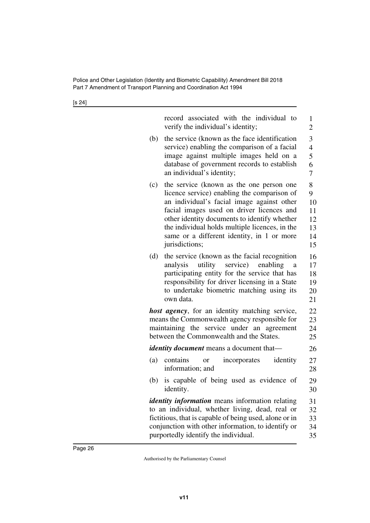| record associated with the individual to<br>verify the individual's identity;                                                                                                                                                                                                                                                                               |                          |
|-------------------------------------------------------------------------------------------------------------------------------------------------------------------------------------------------------------------------------------------------------------------------------------------------------------------------------------------------------------|--------------------------|
| the service (known as the face identification<br>(b)<br>service) enabling the comparison of a facial<br>image against multiple images held on a<br>database of government records to establish<br>an individual's identity;                                                                                                                                 |                          |
| the service (known as the one person one<br>(c)<br>licence service) enabling the comparison of<br>an individual's facial image against other<br>facial images used on driver licences and<br>other identity documents to identify whether<br>the individual holds multiple licences, in the<br>same or a different identity, in 1 or more<br>jurisdictions; |                          |
| (d)<br>the service (known as the facial recognition<br>analysis<br>utility<br>participating entity for the service that has<br>responsibility for driver licensing in a State<br>to undertake biometric matching using its<br>own data.                                                                                                                     | service) enabling<br>a   |
| <b>host agency</b> , for an identity matching service,<br>means the Commonwealth agency responsible for<br>maintaining the service under an agreement<br>between the Commonwealth and the States.                                                                                                                                                           |                          |
| <i>identity document</i> means a document that-                                                                                                                                                                                                                                                                                                             |                          |
| (a)<br>contains<br><b>or</b><br>information; and                                                                                                                                                                                                                                                                                                            | incorporates<br>identity |
| (b) is capable of being used as evidence of<br>identity.                                                                                                                                                                                                                                                                                                    |                          |
| <i>identity information</i> means information relating<br>to an individual, whether living, dead, real or<br>fictitious, that is capable of being used, alone or in<br>conjunction with other information, to identify or<br>purportedly identify the individual.                                                                                           |                          |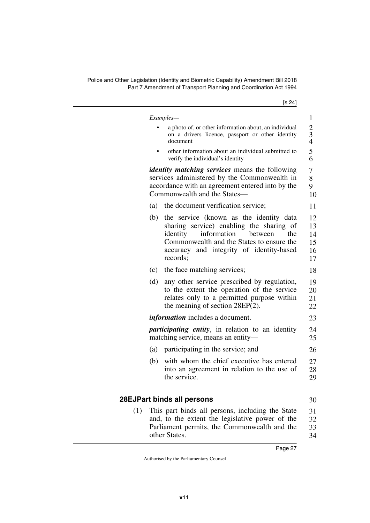|     | [s 24]                                                                                                                                                                                                                                       |
|-----|----------------------------------------------------------------------------------------------------------------------------------------------------------------------------------------------------------------------------------------------|
|     | Examples—                                                                                                                                                                                                                                    |
|     | a photo of, or other information about, an individual<br>on a drivers licence, passport or other identity<br>document                                                                                                                        |
|     | other information about an individual submitted to<br>verify the individual's identity                                                                                                                                                       |
|     | <i>identity matching services</i> means the following<br>services administered by the Commonwealth in<br>accordance with an agreement entered into by the<br>Commonwealth and the States—                                                    |
|     | the document verification service;<br>(a)                                                                                                                                                                                                    |
|     | the service (known as the identity data<br>(b)<br>sharing service) enabling the sharing of<br>identity<br>information<br>between<br>the<br>Commonwealth and the States to ensure the<br>accuracy and integrity of identity-based<br>records; |
|     | (c)<br>the face matching services;                                                                                                                                                                                                           |
|     | (d)<br>any other service prescribed by regulation,<br>to the extent the operation of the service<br>relates only to a permitted purpose within<br>the meaning of section $28EP(2)$ .                                                         |
|     | <i>information</i> includes a document.                                                                                                                                                                                                      |
|     | <i>participating entity</i> , in relation to an identity<br>matching service, means an entity-                                                                                                                                               |
|     | (a)<br>participating in the service; and                                                                                                                                                                                                     |
|     | with whom the chief executive has entered<br>(b)<br>into an agreement in relation to the use of<br>the service.                                                                                                                              |
|     | 28EJPart binds all persons                                                                                                                                                                                                                   |
| (1) | This part binds all persons, including the State<br>and, to the extent the legislative power of the<br>Parliament permits, the Commonwealth and the                                                                                          |

34

<span id="page-28-1"></span><span id="page-28-0"></span>other States.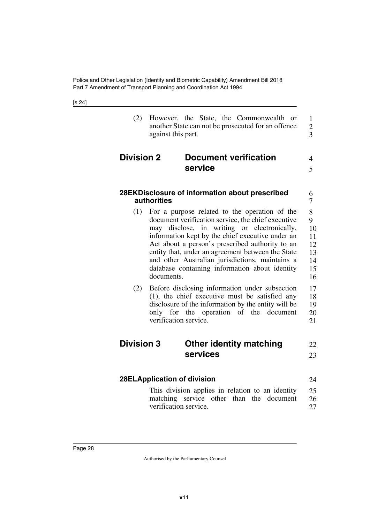<span id="page-29-7"></span><span id="page-29-6"></span><span id="page-29-5"></span><span id="page-29-4"></span><span id="page-29-3"></span><span id="page-29-2"></span><span id="page-29-1"></span><span id="page-29-0"></span>

| (2)               | However, the State, the Commonwealth or<br>another State can not be prosecuted for an offence<br>against this part.                                                                                                                                                                                                                                                                                                               | $\mathbf{1}$<br>$\overline{2}$<br>3              |
|-------------------|-----------------------------------------------------------------------------------------------------------------------------------------------------------------------------------------------------------------------------------------------------------------------------------------------------------------------------------------------------------------------------------------------------------------------------------|--------------------------------------------------|
| <b>Division 2</b> | <b>Document verification</b><br>service                                                                                                                                                                                                                                                                                                                                                                                           | 4<br>5                                           |
|                   | 28EKDisclosure of information about prescribed<br><b>authorities</b>                                                                                                                                                                                                                                                                                                                                                              | 6<br>7                                           |
| (1)               | For a purpose related to the operation of the<br>document verification service, the chief executive<br>may disclose, in writing or electronically,<br>information kept by the chief executive under an<br>Act about a person's prescribed authority to an<br>entity that, under an agreement between the State<br>and other Australian jurisdictions, maintains a<br>database containing information about identity<br>documents. | 8<br>9<br>10<br>11<br>12<br>13<br>14<br>15<br>16 |
| (2)               | Before disclosing information under subsection<br>(1), the chief executive must be satisfied any<br>disclosure of the information by the entity will be<br>only for the operation of the document<br>verification service.                                                                                                                                                                                                        | 17<br>18<br>19<br>20<br>21                       |
| <b>Division 3</b> | <b>Other identity matching</b><br>services                                                                                                                                                                                                                                                                                                                                                                                        | 22<br>23                                         |
|                   | 28ELApplication of division                                                                                                                                                                                                                                                                                                                                                                                                       | 24                                               |
|                   | This division applies in relation to an identity<br>matching service other than the document<br>verification service.                                                                                                                                                                                                                                                                                                             | 25<br>26<br>27                                   |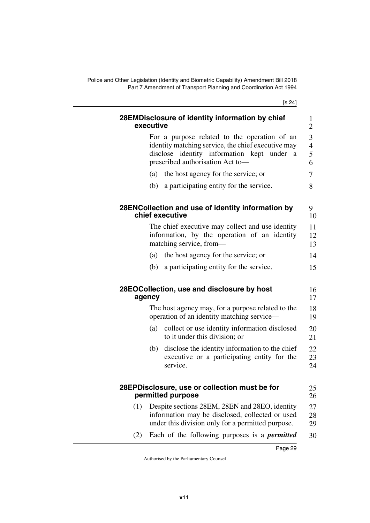<span id="page-30-7"></span><span id="page-30-6"></span><span id="page-30-5"></span><span id="page-30-4"></span><span id="page-30-3"></span><span id="page-30-2"></span><span id="page-30-1"></span><span id="page-30-0"></span>

|     | 28EMDisclosure of identity information by chief<br>executive                                                                                                                                                                                                                                                                                                  |
|-----|---------------------------------------------------------------------------------------------------------------------------------------------------------------------------------------------------------------------------------------------------------------------------------------------------------------------------------------------------------------|
|     | For a purpose related to the operation of an<br>identity matching service, the chief executive may<br>disclose identity information kept under<br><sub>a</sub><br>prescribed authorisation Act to-                                                                                                                                                            |
|     | the host agency for the service; or<br>(a)                                                                                                                                                                                                                                                                                                                    |
|     | a participating entity for the service.<br>(b)                                                                                                                                                                                                                                                                                                                |
|     | 28ENCollection and use of identity information by<br>chief executive                                                                                                                                                                                                                                                                                          |
|     | The chief executive may collect and use identity<br>information, by the operation of an identity<br>matching service, from-                                                                                                                                                                                                                                   |
|     | the host agency for the service; or<br>(a)                                                                                                                                                                                                                                                                                                                    |
|     | a participating entity for the service.<br>(b)                                                                                                                                                                                                                                                                                                                |
|     |                                                                                                                                                                                                                                                                                                                                                               |
|     | 28EOCollection, use and disclosure by host<br>agency                                                                                                                                                                                                                                                                                                          |
|     | operation of an identity matching service—                                                                                                                                                                                                                                                                                                                    |
|     | (a)<br>to it under this division; or                                                                                                                                                                                                                                                                                                                          |
|     | (b)<br>service.                                                                                                                                                                                                                                                                                                                                               |
|     | 28EPDisclosure, use or collection must be for<br>permitted purpose                                                                                                                                                                                                                                                                                            |
| (1) | The host agency may, for a purpose related to the<br>collect or use identity information disclosed<br>disclose the identity information to the chief<br>executive or a participating entity for the<br>Despite sections 28EM, 28EN and 28EO, identity<br>information may be disclosed, collected or used<br>under this division only for a permitted purpose. |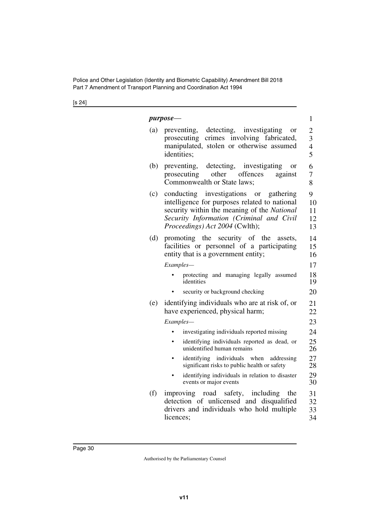|     | <i>purpose-</i>                                                                                                                                                                                                      | 1                                          |
|-----|----------------------------------------------------------------------------------------------------------------------------------------------------------------------------------------------------------------------|--------------------------------------------|
| (a) | preventing, detecting, investigating<br><sub>or</sub><br>crimes involving fabricated,<br>prosecuting<br>manipulated, stolen or otherwise assumed<br>identities;                                                      | $\overline{2}$<br>3<br>$\overline{4}$<br>5 |
| (b) | preventing,<br>detecting, investigating<br><sub>or</sub><br>other offences<br>prosecuting<br>against<br>Commonwealth or State laws;                                                                                  | 6<br>7<br>8                                |
| (c) | conducting investigations or gathering<br>intelligence for purposes related to national<br>security within the meaning of the National<br>Security Information (Criminal and Civil<br>Proceedings) Act 2004 (Cwlth); | 9<br>10<br>11<br>12<br>13                  |
| (d) | promoting the security of the<br>assets.<br>facilities or personnel of a participating<br>entity that is a government entity;                                                                                        | 14<br>15<br>16                             |
|     | Examples-                                                                                                                                                                                                            | 17                                         |
|     | protecting and managing legally assumed<br>identities                                                                                                                                                                | 18<br>19                                   |
|     | security or background checking                                                                                                                                                                                      | 20                                         |
| (e) | identifying individuals who are at risk of, or<br>have experienced, physical harm;                                                                                                                                   | 21<br>22                                   |
|     | Examples—                                                                                                                                                                                                            | 23                                         |
|     | investigating individuals reported missing                                                                                                                                                                           | 24                                         |
|     | identifying individuals reported as dead, or<br>unidentified human remains                                                                                                                                           | 25<br>26                                   |
|     | identifying individuals when<br>addressing<br>significant risks to public health or safety                                                                                                                           | 27<br>28                                   |
|     | identifying individuals in relation to disaster<br>events or major events                                                                                                                                            | 29<br>30                                   |
| (f) | improving road safety,<br>including<br>the<br>detection of unlicensed and disqualified<br>drivers and individuals who hold multiple<br>licences;                                                                     | 31<br>32<br>33<br>34                       |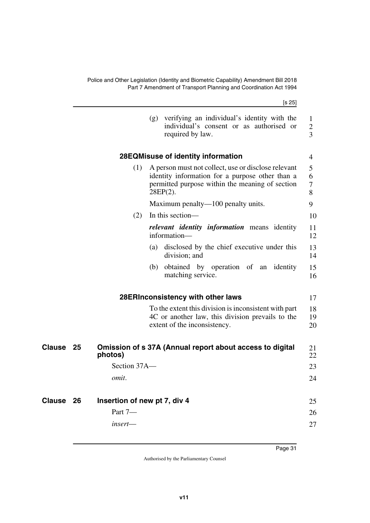<span id="page-32-7"></span><span id="page-32-6"></span><span id="page-32-5"></span><span id="page-32-4"></span><span id="page-32-3"></span><span id="page-32-2"></span><span id="page-32-1"></span><span id="page-32-0"></span>

|           |    |                              | [s 25]                                                                                                                                                                   |                                     |
|-----------|----|------------------------------|--------------------------------------------------------------------------------------------------------------------------------------------------------------------------|-------------------------------------|
|           |    |                              | verifying an individual's identity with the<br>(g)<br>individual's consent or as authorised or<br>required by law.                                                       | 1<br>$\mathbf{2}$<br>$\overline{3}$ |
|           |    |                              | 28EQMisuse of identity information                                                                                                                                       | 4                                   |
|           |    | (1)                          | A person must not collect, use or disclose relevant<br>identity information for a purpose other than a<br>permitted purpose within the meaning of section<br>$28EP(2)$ . | 5<br>6<br>7<br>8                    |
|           |    |                              | Maximum penalty—100 penalty units.                                                                                                                                       | 9                                   |
|           |    | (2)                          | In this section—                                                                                                                                                         | 10                                  |
|           |    |                              | <i>relevant identity information</i> means identity<br>information-                                                                                                      | 11<br>12                            |
|           |    |                              | disclosed by the chief executive under this<br>(a)<br>division; and                                                                                                      | 13<br>14                            |
|           |    |                              | obtained by operation of an identity<br>(b)<br>matching service.                                                                                                         | 15<br>16                            |
|           |    |                              | 28ERInconsistency with other laws                                                                                                                                        | 17                                  |
|           |    |                              | To the extent this division is inconsistent with part<br>4C or another law, this division prevails to the<br>extent of the inconsistency.                                | 18<br>19<br>20                      |
| Clause    | 25 | photos)                      | Omission of s 37A (Annual report about access to digital                                                                                                                 | 21<br>22                            |
|           |    | Section 37A-                 |                                                                                                                                                                          | 23                                  |
|           |    | omit.                        |                                                                                                                                                                          | 24                                  |
| Clause 26 |    | Insertion of new pt 7, div 4 |                                                                                                                                                                          | 25                                  |
|           |    | Part 7-                      |                                                                                                                                                                          | 26                                  |
|           |    | insert-                      |                                                                                                                                                                          | 27                                  |
|           |    |                              |                                                                                                                                                                          |                                     |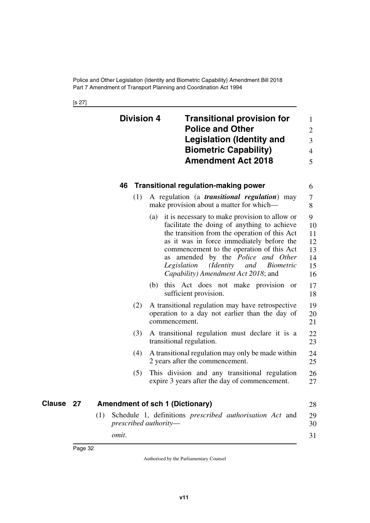<span id="page-33-3"></span><span id="page-33-2"></span><span id="page-33-1"></span><span id="page-33-0"></span>[s 27]

<span id="page-33-5"></span><span id="page-33-4"></span>

|           | <b>Division 4</b>                      |               | <b>Transitional provision for</b><br><b>Police and Other</b><br><b>Legislation (Identity and</b><br><b>Biometric Capability)</b><br><b>Amendment Act 2018</b>                                                                                                                                                                                                                    | $\mathbf{1}$<br>$\overline{2}$<br>3<br>$\overline{4}$<br>5 |
|-----------|----------------------------------------|---------------|----------------------------------------------------------------------------------------------------------------------------------------------------------------------------------------------------------------------------------------------------------------------------------------------------------------------------------------------------------------------------------|------------------------------------------------------------|
|           | 46                                     |               | <b>Transitional regulation-making power</b>                                                                                                                                                                                                                                                                                                                                      | 6                                                          |
|           | (1)                                    |               | A regulation (a <i>transitional regulation</i> ) may<br>make provision about a matter for which—                                                                                                                                                                                                                                                                                 | 7<br>8                                                     |
|           |                                        | (a)<br>as     | it is necessary to make provision to allow or<br>facilitate the doing of anything to achieve<br>the transition from the operation of this Act<br>as it was in force immediately before the<br>commencement to the operation of this Act<br>amended by the Police and Other<br>Legislation<br>( <i>Identity</i><br><i>Biometric</i><br>and<br>Capability) Amendment Act 2018; and | 9<br>10<br>11<br>12<br>13<br>14<br>15<br>16                |
|           |                                        |               | (b) this Act does not make provision or<br>sufficient provision.                                                                                                                                                                                                                                                                                                                 | 17<br>18                                                   |
|           | (2)                                    | commencement. | A transitional regulation may have retrospective<br>operation to a day not earlier than the day of                                                                                                                                                                                                                                                                               | 19<br>20<br>21                                             |
|           | (3)                                    |               | A transitional regulation must declare it is a<br>transitional regulation.                                                                                                                                                                                                                                                                                                       | 22<br>23                                                   |
|           | (4)                                    |               | A transitional regulation may only be made within<br>2 years after the commencement.                                                                                                                                                                                                                                                                                             | 24<br>25                                                   |
|           | (5)                                    |               | This division and any transitional regulation<br>expire 3 years after the day of commencement.                                                                                                                                                                                                                                                                                   | 26<br>27                                                   |
| Clause 27 | <b>Amendment of sch 1 (Dictionary)</b> |               |                                                                                                                                                                                                                                                                                                                                                                                  | 28                                                         |
|           | (1)<br>prescribed authority-<br>omit.  |               | Schedule 1, definitions <i>prescribed authorisation Act</i> and                                                                                                                                                                                                                                                                                                                  | 29<br>30<br>31                                             |
|           |                                        |               |                                                                                                                                                                                                                                                                                                                                                                                  |                                                            |